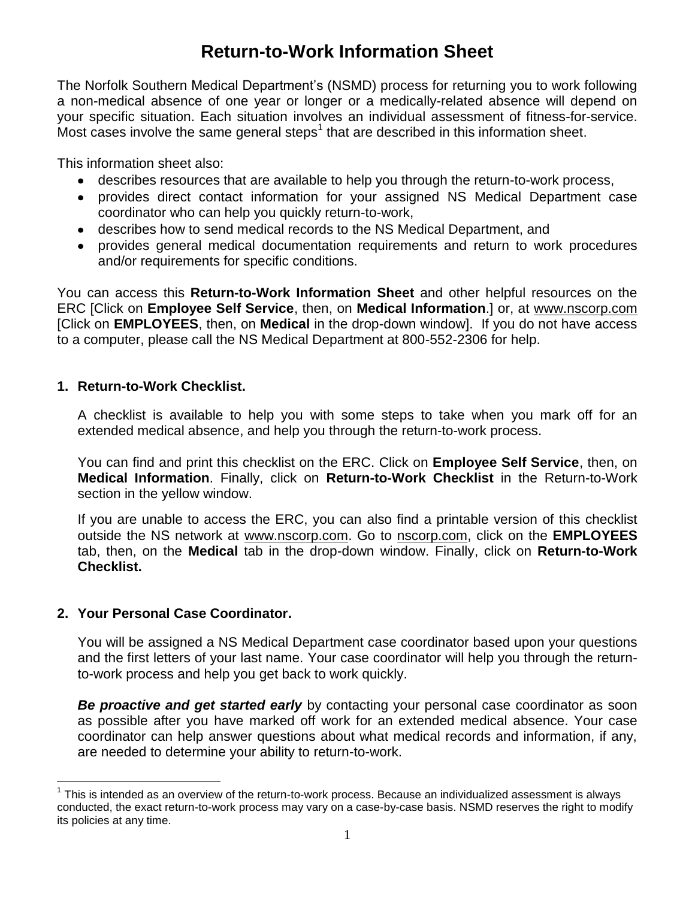# **Return-to-Work Information Sheet**

The Norfolk Southern Medical Department's (NSMD) process for returning you to work following a non-medical absence of one year or longer or a medically-related absence will depend on your specific situation. Each situation involves an individual assessment of fitness-for-service. Most cases involve the same general steps<sup>1</sup> that are described in this information sheet.

This information sheet also:

- describes resources that are available to help you through the return-to-work process,
- provides direct contact information for your assigned NS Medical Department case coordinator who can help you quickly return-to-work,
- describes how to send medical records to the NS Medical Department, and
- provides general medical documentation requirements and return to work procedures  $\bullet$ and/or requirements for specific conditions.

You can access this **Return-to-Work Information Sheet** and other helpful resources on the ERC [Click on **Employee Self Service**, then, on **Medical Information**.] or, at www.nscorp.com [Click on **EMPLOYEES**, then, on **Medical** in the drop-down window]. If you do not have access to a computer, please call the NS Medical Department at 800-552-2306 for help.

#### **1. Return-to-Work Checklist.**

A checklist is available to help you with some steps to take when you mark off for an extended medical absence, and help you through the return-to-work process.

You can find and print this checklist on the ERC. Click on **Employee Self Service**, then, on **Medical Information**. Finally, click on **Return-to-Work Checklist** in the Return-to-Work section in the yellow window.

If you are unable to access the ERC, you can also find a printable version of this checklist outside the NS network at [www.nscorp.com.](http://www.nscorp.com/) Go to [nscorp.com,](http://www.nscorp.com/) click on the **EMPLOYEES** tab, then, on the **Medical** tab in the drop-down window. Finally, click on **Return-to-Work Checklist.**

## **2. Your Personal Case Coordinator.**

You will be assigned a NS Medical Department case coordinator based upon your questions and the first letters of your last name. Your case coordinator will help you through the returnto-work process and help you get back to work quickly.

*Be proactive and get started early* by contacting your personal case coordinator as soon as possible after you have marked off work for an extended medical absence. Your case coordinator can help answer questions about what medical records and information, if any, are needed to determine your ability to return-to-work.

 $\overline{a}$  $1$  This is intended as an overview of the return-to-work process. Because an individualized assessment is always conducted, the exact return-to-work process may vary on a case-by-case basis. NSMD reserves the right to modify its policies at any time.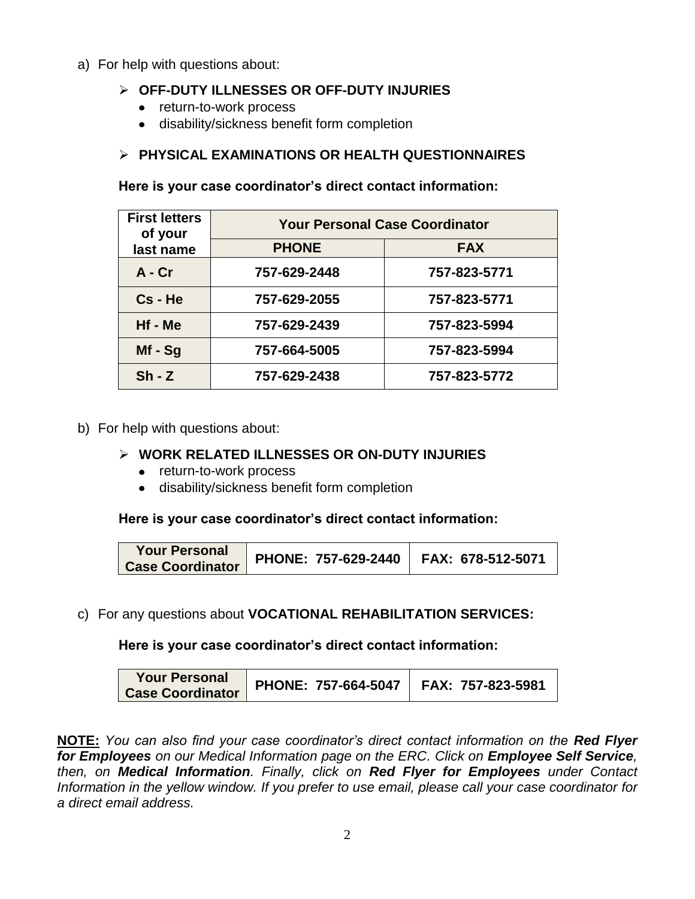a) For help with questions about:

## **OFF-DUTY ILLNESSES OR OFF-DUTY INJURIES**

- return-to-work process
- disability/sickness benefit form completion

## **PHYSICAL EXAMINATIONS OR HEALTH QUESTIONNAIRES**

**Here is your case coordinator's direct contact information:**

| <b>First letters</b><br>of your<br>last name | <b>Your Personal Case Coordinator</b> |              |  |
|----------------------------------------------|---------------------------------------|--------------|--|
|                                              | <b>PHONE</b>                          | <b>FAX</b>   |  |
| $A - Cr$                                     | 757-629-2448                          | 757-823-5771 |  |
| Cs - He                                      | 757-629-2055                          | 757-823-5771 |  |
| Hf - Me                                      | 757-629-2439                          | 757-823-5994 |  |
| $Mf - Sg$                                    | 757-664-5005                          | 757-823-5994 |  |
| $Sh - Z$                                     | 757-629-2438                          | 757-823-5772 |  |

b) For help with questions about:

#### **WORK RELATED ILLNESSES OR ON-DUTY INJURIES**

- return-to-work process
- disability/sickness benefit form completion

**Here is your case coordinator's direct contact information:**

| <b>Your Personal</b><br><b>Case Coordinator</b> | PHONE: 757-629-2440   FAX: 678-512-5071 |  |
|-------------------------------------------------|-----------------------------------------|--|
|-------------------------------------------------|-----------------------------------------|--|

c) For any questions about **VOCATIONAL REHABILITATION SERVICES:**

**Here is your case coordinator's direct contact information:**

| <b>Your Personal</b><br>PHONE: 757-664-5047   FAX: 757-823-5981<br>Case Coordinator |
|-------------------------------------------------------------------------------------|
|-------------------------------------------------------------------------------------|

**NOTE:** *You can also find your case coordinator's direct contact information on the Red Flyer*  for *Employees* on our Medical Information page on the *ERC*. Click on *Employee* Self Service, *then, on Medical Information. Finally, click on Red Flyer for Employees under Contact Information in the yellow window. If you prefer to use email, please call your case coordinator for a direct email address.*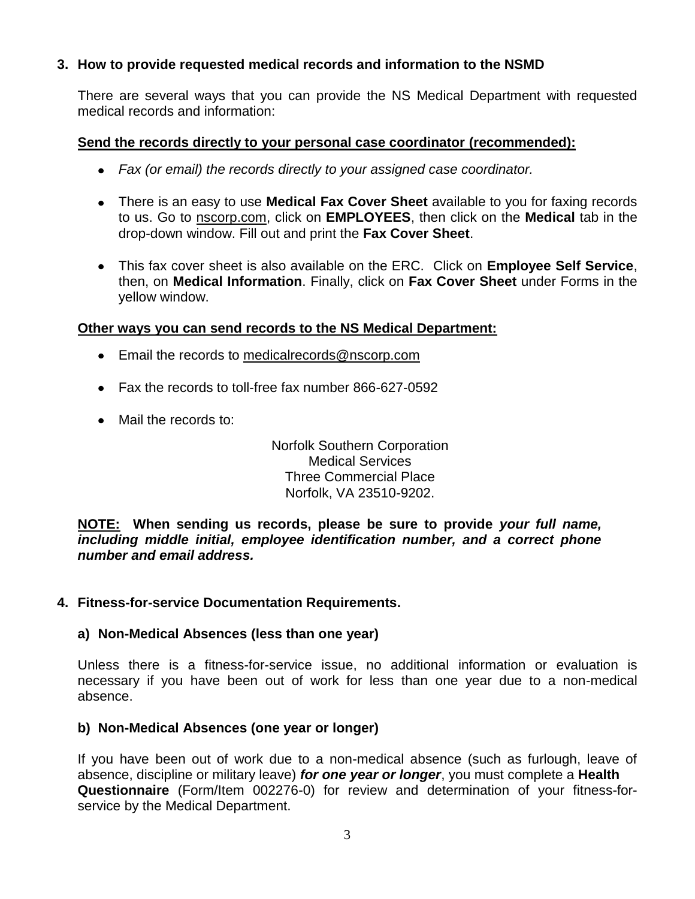#### **3. How to provide requested medical records and information to the NSMD**

There are several ways that you can provide the NS Medical Department with requested medical records and information:

#### **Send the records directly to your personal case coordinator (recommended):**

- *Fax (or email) the records directly to your assigned case coordinator.*
- There is an easy to use **Medical Fax Cover Sheet** available to you for faxing records to us. Go to [nscorp.com,](http://www.nscorp.com/) click on **EMPLOYEES**, then click on the **Medical** tab in the drop-down window. Fill out and print the **Fax Cover Sheet**.
- This fax cover sheet is also available on the ERC. Click on **Employee Self Service**, then, on **Medical Information**. Finally, click on **Fax Cover Sheet** under Forms in the yellow window.

#### **Other ways you can send records to the NS Medical Department:**

- **Email the records to [medicalrecords@nscorp.com](mailto:medicalrecords@nscorp.com)**
- Fax the records to toll-free fax number 866-627-0592
- Mail the records to:

Norfolk Southern Corporation Medical Services Three Commercial Place Norfolk, VA 23510-9202.

**NOTE: When sending us records, please be sure to provide** *your full name, including middle initial, employee identification number, and a correct phone number and email address.*

#### **4. Fitness-for-service Documentation Requirements.**

#### **a) Non-Medical Absences (less than one year)**

Unless there is a fitness-for-service issue, no additional information or evaluation is necessary if you have been out of work for less than one year due to a non-medical absence.

#### **b) Non-Medical Absences (one year or longer)**

If you have been out of work due to a non-medical absence (such as furlough, leave of absence, discipline or military leave) *for one year or longer*, you must complete a **Health Questionnaire** (Form/Item 002276-0) for review and determination of your fitness-forservice by the Medical Department.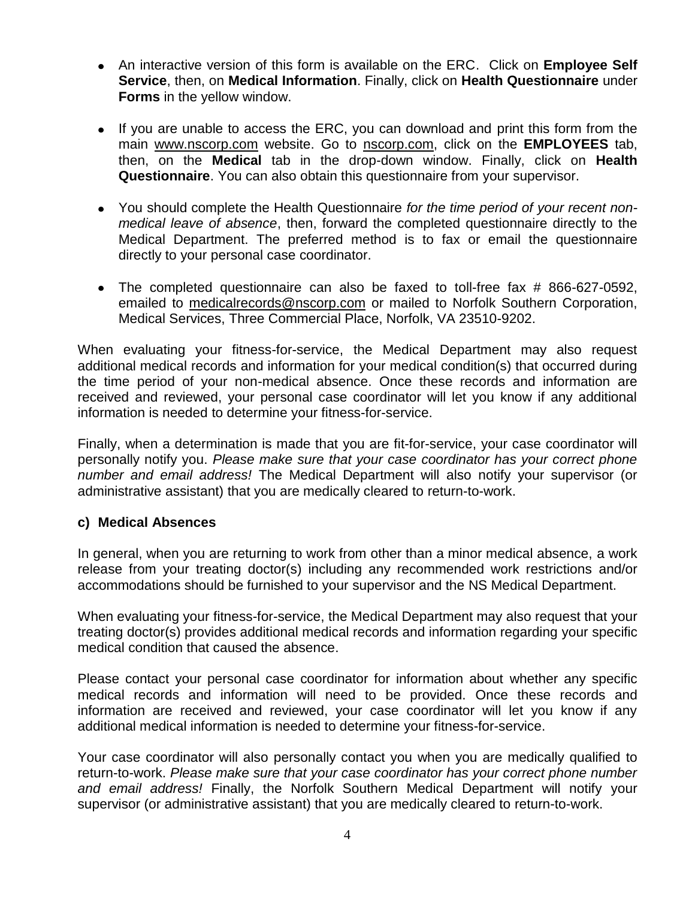- An interactive version of this form is available on the ERC. Click on **Employee Self Service**, then, on **Medical Information**. Finally, click on **Health Questionnaire** under **Forms** in the yellow window.
- If you are unable to access the ERC, you can download and print this form from the main [www.nscorp.com](http://www.nscorp.com/) website. Go to [nscorp.com,](http://www.nscorp.com/) click on the **EMPLOYEES** tab, then, on the **Medical** tab in the drop-down window. Finally, click on **Health Questionnaire**. You can also obtain this questionnaire from your supervisor.
- You should complete the Health Questionnaire *for the time period of your recent nonmedical leave of absence*, then, forward the completed questionnaire directly to the Medical Department. The preferred method is to fax or email the questionnaire directly to your personal case coordinator.
- The completed questionnaire can also be faxed to toll-free fax # 866-627-0592, emailed to [medicalrecords@nscorp.com](mailto:medicalrecords@nscorp.com) or mailed to Norfolk Southern Corporation, Medical Services, Three Commercial Place, Norfolk, VA 23510-9202.

When evaluating your fitness-for-service, the Medical Department may also request additional medical records and information for your medical condition(s) that occurred during the time period of your non-medical absence. Once these records and information are received and reviewed, your personal case coordinator will let you know if any additional information is needed to determine your fitness-for-service.

Finally, when a determination is made that you are fit-for-service, your case coordinator will personally notify you. *Please make sure that your case coordinator has your correct phone number and email address!* The Medical Department will also notify your supervisor (or administrative assistant) that you are medically cleared to return-to-work.

## **c) Medical Absences**

In general, when you are returning to work from other than a minor medical absence, a work release from your treating doctor(s) including any recommended work restrictions and/or accommodations should be furnished to your supervisor and the NS Medical Department.

When evaluating your fitness-for-service, the Medical Department may also request that your treating doctor(s) provides additional medical records and information regarding your specific medical condition that caused the absence.

Please contact your personal case coordinator for information about whether any specific medical records and information will need to be provided. Once these records and information are received and reviewed, your case coordinator will let you know if any additional medical information is needed to determine your fitness-for-service.

Your case coordinator will also personally contact you when you are medically qualified to return-to-work. *Please make sure that your case coordinator has your correct phone number and email address!* Finally, the Norfolk Southern Medical Department will notify your supervisor (or administrative assistant) that you are medically cleared to return-to-work.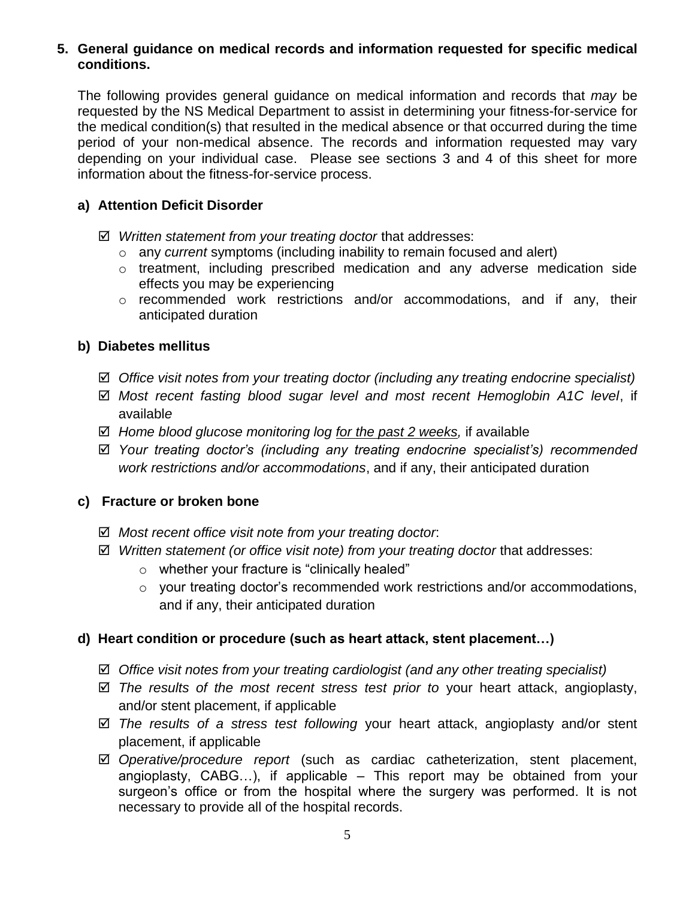#### **5. General guidance on medical records and information requested for specific medical conditions.**

The following provides general guidance on medical information and records that *may* be requested by the NS Medical Department to assist in determining your fitness-for-service for the medical condition(s) that resulted in the medical absence or that occurred during the time period of your non-medical absence. The records and information requested may vary depending on your individual case. Please see sections 3 and 4 of this sheet for more information about the fitness-for-service process.

## **a) Attention Deficit Disorder**

- *Written statement from your treating doctor* that addresses:
	- o any *current* symptoms (including inability to remain focused and alert)
	- o treatment, including prescribed medication and any adverse medication side effects you may be experiencing
	- o recommended work restrictions and/or accommodations, and if any, their anticipated duration

# **b) Diabetes mellitus**

- *Office visit notes from your treating doctor (including any treating endocrine specialist)*
- *Most recent fasting blood sugar level and most recent Hemoglobin A1C level*, if availabl*e*
- *Home blood glucose monitoring log for the past 2 weeks,* if available
- *Your treating doctor's (including any treating endocrine specialist's) recommended work restrictions and/or accommodations*, and if any, their anticipated duration

## **c) Fracture or broken bone**

- *Most recent office visit note from your treating doctor*:
- *Written statement (or office visit note) from your treating doctor* that addresses:
	- o whether your fracture is "clinically healed"
	- o your treating doctor's recommended work restrictions and/or accommodations, and if any, their anticipated duration

## **d) Heart condition or procedure (such as heart attack, stent placement…)**

- *Office visit notes from your treating cardiologist (and any other treating specialist)*
- *The results of the most recent stress test prior to* your heart attack, angioplasty, and/or stent placement, if applicable
- *The results of a stress test following* your heart attack, angioplasty and/or stent placement, if applicable
- *Operative/procedure report* (such as cardiac catheterization, stent placement, angioplasty, CABG…), if applicable – This report may be obtained from your surgeon's office or from the hospital where the surgery was performed. It is not necessary to provide all of the hospital records.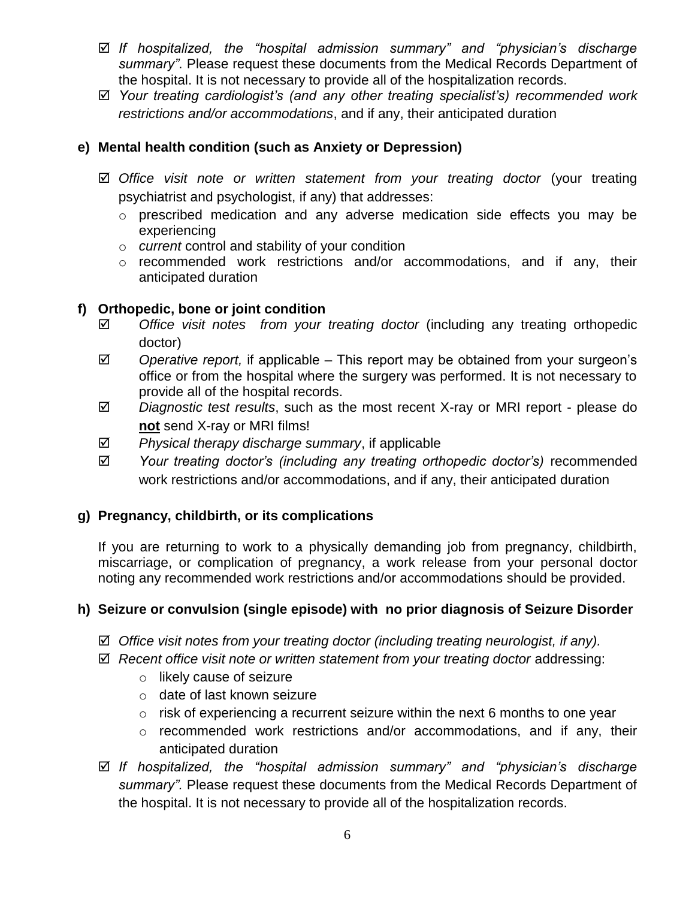- *If hospitalized, the "hospital admission summary" and "physician's discharge summary"*. Please request these documents from the Medical Records Department of the hospital. It is not necessary to provide all of the hospitalization records.
- *Your treating cardiologist's (and any other treating specialist's) recommended work restrictions and/or accommodations*, and if any, their anticipated duration

# **e) Mental health condition (such as Anxiety or Depression)**

- *Office visit note or written statement from your treating doctor* (your treating psychiatrist and psychologist, if any) that addresses:
	- o prescribed medication and any adverse medication side effects you may be experiencing
	- o *current* control and stability of your condition
	- o recommended work restrictions and/or accommodations, and if any, their anticipated duration

## **f) Orthopedic, bone or joint condition**

- *Office visit notes from your treating doctor* (including any treating orthopedic doctor)
- *Operative report,* if applicable This report may be obtained from your surgeon's office or from the hospital where the surgery was performed. It is not necessary to provide all of the hospital records.
- *Diagnostic test results*, such as the most recent X-ray or MRI report please do **not** send X-ray or MRI films!
- *Physical therapy discharge summary*, if applicable
- *Your treating doctor's (including any treating orthopedic doctor's)* recommended work restrictions and/or accommodations, and if any, their anticipated duration

## **g) Pregnancy, childbirth, or its complications**

If you are returning to work to a physically demanding job from pregnancy, childbirth, miscarriage, or complication of pregnancy, a work release from your personal doctor noting any recommended work restrictions and/or accommodations should be provided.

## **h) Seizure or convulsion (single episode) with no prior diagnosis of Seizure Disorder**

- *Office visit notes from your treating doctor (including treating neurologist, if any).*
- $\boxtimes$  Recent office visit note or written statement from your treating doctor addressing:
	- o likely cause of seizure
	- o date of last known seizure
	- $\circ$  risk of experiencing a recurrent seizure within the next 6 months to one year
	- o recommended work restrictions and/or accommodations, and if any, their anticipated duration
- *If hospitalized, the "hospital admission summary" and "physician's discharge summary".* Please request these documents from the Medical Records Department of the hospital. It is not necessary to provide all of the hospitalization records.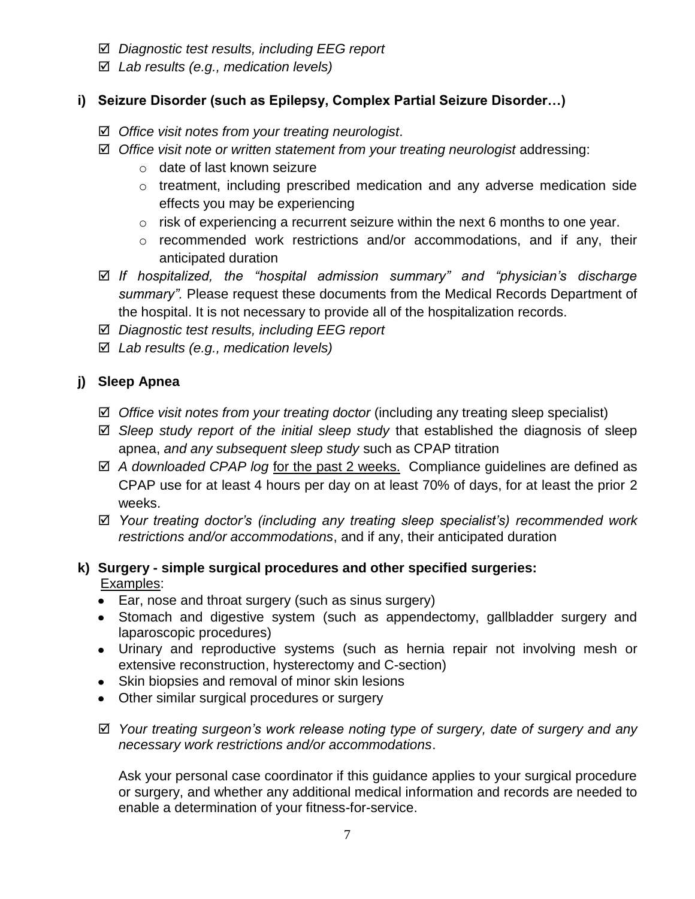- *Diagnostic test results, including EEG report*
- *Lab results (e.g., medication levels)*

# **i) Seizure Disorder (such as Epilepsy, Complex Partial Seizure Disorder…)**

- *Office visit notes from your treating neurologist*.
- *Office visit note or written statement from your treating neurologist* addressing:
	- o date of last known seizure
	- o treatment, including prescribed medication and any adverse medication side effects you may be experiencing
	- $\circ$  risk of experiencing a recurrent seizure within the next 6 months to one year.
	- o recommended work restrictions and/or accommodations, and if any, their anticipated duration
- *If hospitalized, the "hospital admission summary" and "physician's discharge summary".* Please request these documents from the Medical Records Department of the hospital. It is not necessary to provide all of the hospitalization records.
- *Diagnostic test results, including EEG report*
- *Lab results (e.g., medication levels)*

# **j) Sleep Apnea**

- *Office visit notes from your treating doctor* (including any treating sleep specialist)
- *Sleep study report of the initial sleep study* that established the diagnosis of sleep apnea, *and any subsequent sleep study* such as CPAP titration
- *A downloaded CPAP log* for the past 2 weeks. Compliance guidelines are defined as CPAP use for at least 4 hours per day on at least 70% of days, for at least the prior 2 weeks.
- *Your treating doctor's (including any treating sleep specialist's) recommended work restrictions and/or accommodations*, and if any, their anticipated duration

# **k) Surgery - simple surgical procedures and other specified surgeries:** Examples:

- Ear, nose and throat surgery (such as sinus surgery)
- Stomach and digestive system (such as appendectomy, gallbladder surgery and laparoscopic procedures)
- Urinary and reproductive systems (such as hernia repair not involving mesh or extensive reconstruction, hysterectomy and C-section)
- Skin biopsies and removal of minor skin lesions
- Other similar surgical procedures or surgery
- *Your treating surgeon's work release noting type of surgery, date of surgery and any necessary work restrictions and/or accommodations*.

Ask your personal case coordinator if this guidance applies to your surgical procedure or surgery, and whether any additional medical information and records are needed to enable a determination of your fitness-for-service.